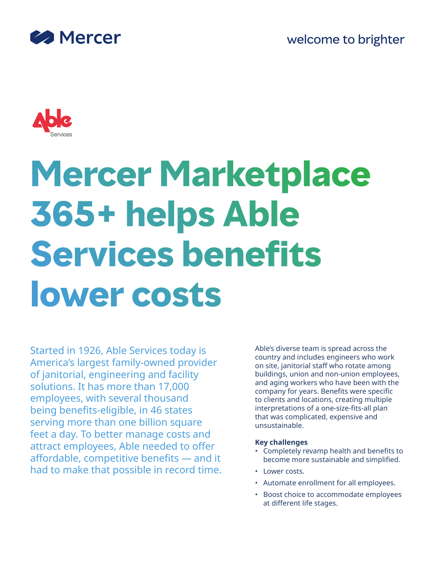



# **Mercer Marketplace 365+ helps Able Services benefits lower costs**

Started in 1926, Able Services today is America's largest family-owned provider of janitorial, engineering and facility solutions. It has more than 17,000 employees, with several thousand being benefits-eligible, in 46 states serving more than one billion square feet a day. To better manage costs and attract employees, Able needed to offer affordable, competitive benefits — and it had to make that possible in record time. Able's diverse team is spread across the country and includes engineers who work on site, janitorial staff who rotate among buildings, union and non-union employees, and aging workers who have been with the company for years. Benefits were specific to clients and locations, creating multiple interpretations of a one-size-fits-all plan that was complicated, expensive and unsustainable.

# **Key challenges**

- Completely revamp health and benefits to become more sustainable and simplified.
- Lower costs.
- Automate enrollment for all employees.
- Boost choice to accommodate employees at different life stages.